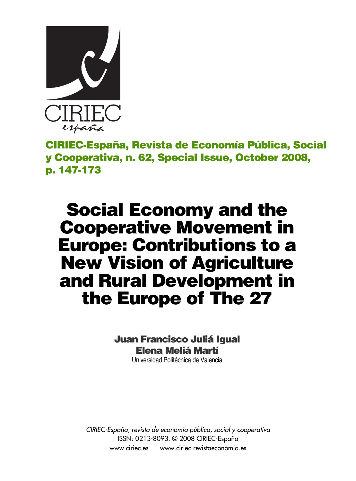

**CIRIEC-España, Revista de Economía Pública, Social y Cooperativa, n. 62, Special Issue, October 2008, p. 147-173**

# **Social Economy and the Cooperative Movement in Europe: Contributions to a New Vision of Agriculture and Rural Development in the Europe of The 27**

# **Juan Francisco Juliá Igual Elena Meliá Martí**

Universidad Politécnica de Valencia

*CIRIEC-España, revista de economía pública, social y cooperativa* ISSN: 0213-8093. © 2008 CIRIEC-España www.ciriec.es www.ciriec-revistaeconomia.es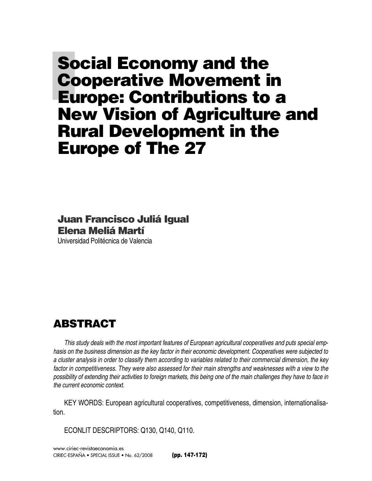# **Social Economy and the Cooperative Movement in Europe: Contributions to a New Vision of Agriculture and Rural Development in the Europe of The 27**

## **Juan Francisco Juliá Igual Elena Meliá Martí**

Universidad Politécnica de Valencia

# **ABSTRACT**

*This study deals with the most important features of European agricultural cooperatives and puts special emphasis on the business dimension as the key factor in their economic development. Cooperatives were subjected to a cluster analysis in order to classify them according to variables related to their commercial dimension, the key factor in competitiveness. They were also assessed for their main strengths and weaknesses with a view to the possibility of extending their activities to foreign markets, this being one of the main challenges they have to face in the current economic context.* 

KEY WORDS: European agricultural cooperatives, competitiveness, dimension, internationalisation.

ECONLIT DESCRIPTORS: Q130, Q140, Q110.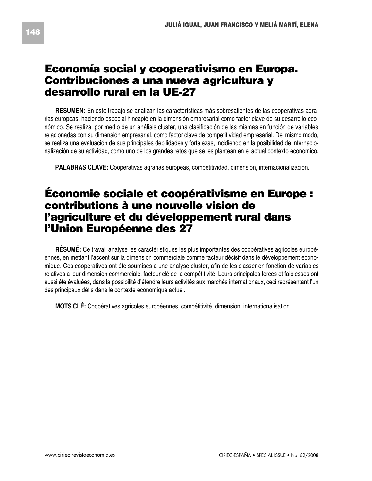# **Economía social y cooperativismo en Europa. Contribuciones a una nueva agricultura y desarrollo rural en la UE-27**

**RESUMEN:** En este trabajo se analizan las características más sobresalientes de las cooperativas agrarias europeas, haciendo especial hincapié en la dimensión empresarial como factor clave de su desarrollo económico. Se realiza, por medio de un análisis cluster, una clasificación de las mismas en función de variables relacionadas con su dimensión empresarial, como factor clave de competitividad empresarial. Del mismo modo, se realiza una evaluación de sus principales debilidades y fortalezas, incidiendo en la posibilidad de internacionalización de su actividad, como uno de los grandes retos que se les plantean en el actual contexto económico.

**PALABRAS CLAVE:** Cooperativas agrarias europeas, competitividad, dimensión, internacionalización.

# **Économie sociale et coopérativisme en Europe : contributions à une nouvelle vision de l'agriculture et du développement rural dans l'Union Européenne des 27**

**RÉSUMÉ:** Ce travail analyse les caractéristiques les plus importantes des coopératives agricoles européennes, en mettant l'accent sur la dimension commerciale comme facteur décisif dans le développement économique. Ces coopératives ont été soumises à une analyse cluster, afin de les classer en fonction de variables relatives à leur dimension commerciale, facteur clé de la compétitivité. Leurs principales forces et faiblesses ont aussi été évaluées, dans la possibilité d'étendre leurs activités aux marchés internationaux, ceci représentant l'un des principaux défis dans le contexte économique actuel.

**MOTS CLÉ:** Coopératives agricoles européennes, compétitivité, dimension, internationalisation.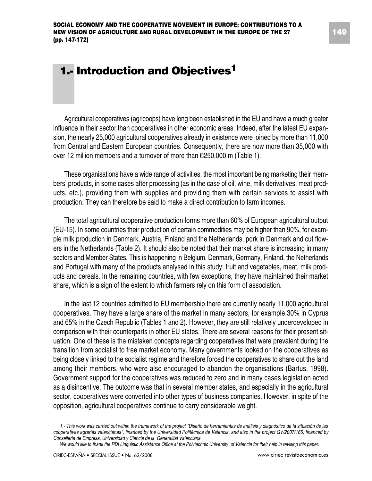# **1.- Introduction and Objectives1**

Agricultural cooperatives (agricoops) have long been established in the EU and have a much greater influence in their sector than cooperatives in other economic areas. Indeed, after the latest EU expansion, the nearly 25,000 agricultural cooperatives already in existence were joined by more than 11,000 from Central and Eastern European countries. Consequently, there are now more than 35,000 with over 12 million members and a turnover of more than €250,000 m (Table 1).

These organisations have a wide range of activities, the most important being marketing their members' products, in some cases after processing (as in the case of oil, wine, milk derivatives, meat products, etc.), providing them with supplies and providing them with certain services to assist with production. They can therefore be said to make a direct contribution to farm incomes.

The total agricultural cooperative production forms more than 60% of European agricultural output (EU-15). In some countries their production of certain commodities may be higher than 90%, for example milk production in Denmark, Austria, Finland and the Netherlands, pork in Denmark and cut flowers in the Netherlands (Table 2). It should also be noted that their market share is increasing in many sectors and Member States. This is happening in Belgium, Denmark, Germany, Finland, the Netherlands and Portugal with many of the products analysed in this study: fruit and vegetables, meat, milk products and cereals. In the remaining countries, with few exceptions, they have maintained their market share, which is a sign of the extent to which farmers rely on this form of association.

In the last 12 countries admitted to EU membership there are currently nearly 11,000 agricultural cooperatives. They have a large share of the market in many sectors, for example 30% in Cyprus and 65% in the Czech Republic (Tables 1 and 2). However, they are still relatively underdeveloped in comparison with their counterparts in other EU states. There are several reasons for their present situation. One of these is the mistaken concepts regarding cooperatives that were prevalent during the transition from socialist to free market economy. Many governments looked on the cooperatives as being closely linked to the socialist regime and therefore forced the cooperatives to share out the land among their members, who were also encouraged to abandon the organisations (Bartus, 1998). Government support for the cooperatives was reduced to zero and in many cases legislation acted as a disincentive. The outcome was that in several member states, and especially in the agricultural sector, cooperatives were converted into other types of business companies. However, in spite of the opposition, agricultural cooperatives continue to carry considerable weight.

*<sup>1.-</sup> This work was carried out within the framework of the project "Diseño de herramientas de análisis y diagnóstico de la situación de las cooperativas agrarias valencianas", financed by the Universidad Politécnica de Valencia, and also in the project GV/2007/165, financed by Consellería de Empresa, Universidad y Ciencia de la Generalitat Valenciana.*

*We would like to thank the RDI Linguistic Assistance Office at the Polytechnic University of Valencia for their help in revising this paper.*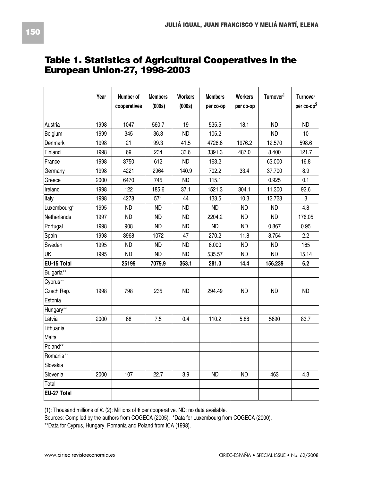|              | Year | Number of<br>cooperatives | <b>Members</b><br>(000s) | <b>Workers</b><br>(000s) | <b>Members</b><br>per co-op | <b>Workers</b><br>per co-op | Turnover <sup>1</sup> | Turnover<br>per co-op <sup>2</sup> |
|--------------|------|---------------------------|--------------------------|--------------------------|-----------------------------|-----------------------------|-----------------------|------------------------------------|
| Austria      | 1998 | 1047                      | 560.7                    | 19                       | 535.5                       | 18.1                        | <b>ND</b>             | <b>ND</b>                          |
| Belgium      | 1999 | 345                       | 36.3                     | <b>ND</b>                | 105.2                       |                             | <b>ND</b>             | 10                                 |
| Denmark      | 1998 | 21                        | 99.3                     | 41.5                     | 4728.6                      | 1976.2                      | 12.570                | 598.6                              |
| Finland      | 1998 | 69                        | 234                      | 33.6                     | 3391.3                      | 487.0                       | 8.400                 | 121.7                              |
| France       | 1998 | 3750                      | 612                      | <b>ND</b>                | 163.2                       |                             | 63.000                | 16.8                               |
| Germany      | 1998 | 4221                      | 2964                     | 140.9                    | 702.2                       | 33.4                        | 37.700                | 8.9                                |
| Greece       | 2000 | 6470                      | 745                      | <b>ND</b>                | 115.1                       |                             | 0.925                 | 0.1                                |
| Ireland      | 1998 | 122                       | 185.6                    | 37.1                     | 1521.3                      | 304.1                       | 11.300                | 92.6                               |
| <b>Italy</b> | 1998 | 4278                      | 571                      | 44                       | 133.5                       | 10.3                        | 12.723                | 3                                  |
| Luxembourg*  | 1995 | <b>ND</b>                 | <b>ND</b>                | <b>ND</b>                | <b>ND</b>                   | <b>ND</b>                   | <b>ND</b>             | 4.8                                |
| Netherlands  | 1997 | <b>ND</b>                 | <b>ND</b>                | <b>ND</b>                | 2204.2                      | <b>ND</b>                   | <b>ND</b>             | 176.05                             |
| Portugal     | 1998 | 908                       | <b>ND</b>                | <b>ND</b>                | <b>ND</b>                   | <b>ND</b>                   | 0.867                 | 0.95                               |
| Spain        | 1998 | 3968                      | 1072                     | 47                       | 270.2                       | 11.8                        | 8.754                 | 2.2                                |
| Sweden       | 1995 | <b>ND</b>                 | <b>ND</b>                | <b>ND</b>                | 6.000                       | <b>ND</b>                   | <b>ND</b>             | 165                                |
| UK           | 1995 | <b>ND</b>                 | <b>ND</b>                | <b>ND</b>                | 535.57                      | <b>ND</b>                   | <b>ND</b>             | 15.14                              |
| EU-15 Total  |      | 25199                     | 7079.9                   | 363.1                    | 281.0                       | 14.4                        | 156.239               | 6.2                                |
| Bulgaria**   |      |                           |                          |                          |                             |                             |                       |                                    |
| Cyprus**     |      |                           |                          |                          |                             |                             |                       |                                    |
| Czech Rep.   | 1998 | 798                       | 235                      | <b>ND</b>                | 294.49                      | <b>ND</b>                   | <b>ND</b>             | <b>ND</b>                          |
| Estonia      |      |                           |                          |                          |                             |                             |                       |                                    |
| Hungary**    |      |                           |                          |                          |                             |                             |                       |                                    |
| Latvia       | 2000 | 68                        | 7.5                      | 0.4                      | 110.2                       | 5.88                        | 5690                  | 83.7                               |
| Lithuania    |      |                           |                          |                          |                             |                             |                       |                                    |
| Malta        |      |                           |                          |                          |                             |                             |                       |                                    |
| Poland**     |      |                           |                          |                          |                             |                             |                       |                                    |
| Romania**    |      |                           |                          |                          |                             |                             |                       |                                    |
| Slovakia     |      |                           |                          |                          |                             |                             |                       |                                    |
| Slovenia     | 2000 | 107                       | 22.7                     | 3.9                      | <b>ND</b>                   | <b>ND</b>                   | 463                   | 4.3                                |
| Total        |      |                           |                          |                          |                             |                             |                       |                                    |
| EU-27 Total  |      |                           |                          |                          |                             |                             |                       |                                    |

### **Table 1. Statistics of Agricultural Cooperatives in the European Union-27, 1998-2003**

(1): Thousand millions of €. (2): Millions of € per cooperative. ND: no data available.

Sources: Compiled by the authors from COGECA (2005). \*Data for Luxembourg from COGECA (2000).

\*\*Data for Cyprus, Hungary, Romania and Poland from ICA (1998).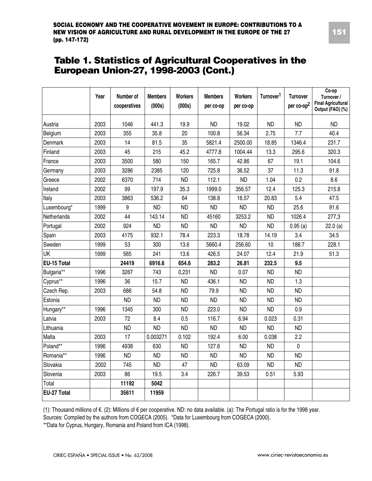### **Table 1. Statistics of Agricultural Cooperatives in the European Union-27, 1998-2003 (Cont.)**

|             | Year | Number of<br>cooperatives | <b>Members</b><br>(000s) | <b>Workers</b><br>(000s) | <b>Members</b><br>per co-op | <b>Workers</b><br>per co-op | Turnover <sup>1</sup> | <b>Turnover</b><br>per co-op <sup>2</sup> | $Co$ -op<br>Turnover /<br><b>Final Agricultural</b><br>Output (FAO) (%) |
|-------------|------|---------------------------|--------------------------|--------------------------|-----------------------------|-----------------------------|-----------------------|-------------------------------------------|-------------------------------------------------------------------------|
| Austria     | 2003 | 1046                      | 441.3                    | 19.9                     | <b>ND</b>                   | 19.02                       | <b>ND</b>             | <b>ND</b>                                 | <b>ND</b>                                                               |
| Belgium     | 2003 | 355                       | 35.8                     | 20                       | 100.8                       | 56.34                       | 2.75                  | 7.7                                       | 40.4                                                                    |
| Denmark     | 2003 | 14                        | 81.5                     | 35                       | 5821.4                      | 2500.00                     | 18.85                 | 1346.4                                    | 231.7                                                                   |
| Finland     | 2003 | 45                        | 215                      | 45.2                     | 4777.8                      | 1004.44                     | 13.3                  | 295.6                                     | 320.3                                                                   |
| France      | 2003 | 3500                      | 580                      | 150                      | 165.7                       | 42.86                       | 67                    | 19.1                                      | 104.6                                                                   |
| Germany     | 2003 | 3286                      | 2385                     | 120                      | 725.8                       | 36.52                       | 37                    | 11.3                                      | 91.8                                                                    |
| Greece      | 2002 | 6370                      | 714                      | <b>ND</b>                | 112.1                       | <b>ND</b>                   | 1.04                  | 0.2                                       | 8.6                                                                     |
| Ireland     | 2002 | 99                        | 197.9                    | 35.3                     | 1999.0                      | 356.57                      | 12.4                  | 125.3                                     | 215.8                                                                   |
| Italy       | 2003 | 3863                      | 536.2                    | 64                       | 138.8                       | 16.57                       | 20.83                 | 5.4                                       | 47.5                                                                    |
| Luxembourg* | 1999 | 9                         | <b>ND</b>                | <b>ND</b>                | <b>ND</b>                   | <b>ND</b>                   | <b>ND</b>             | 25.6                                      | 91.6                                                                    |
| Netherlands | 2002 | 44                        | 143.14                   | <b>ND</b>                | 45160                       | 3253.2                      | <b>ND</b>             | 1026.4                                    | 277,3                                                                   |
| Portugal    | 2002 | 924                       | <b>ND</b>                | <b>ND</b>                | <b>ND</b>                   | <b>ND</b>                   | <b>ND</b>             | 0.95(a)                                   | 22.0(a)                                                                 |
| Spain       | 2003 | 4175                      | 932.1                    | 78.4                     | 223.3                       | 18.78                       | 14.19                 | 3.4                                       | 34.5                                                                    |
| Sweden      | 1999 | 53                        | 300                      | 13.6                     | 5660.4                      | 256.60                      | 10                    | 188.7                                     | 228.1                                                                   |
| <b>UK</b>   | 1999 | 565                       | 241                      | 13.6                     | 426.5                       | 24.07                       | 12.4                  | 21.9                                      | 51.3                                                                    |
| EU-15 Total |      | 24419                     | 6916.6                   | 654.6                    | 283.2                       | 26.81                       | 232.5                 | 9.5                                       |                                                                         |
| Bulgaria**  | 1996 | 3267                      | 743                      | 0,231                    | <b>ND</b>                   | 0.07                        | <b>ND</b>             | <b>ND</b>                                 |                                                                         |
| Cyprus**    | 1996 | 36                        | 15.7                     | <b>ND</b>                | 436.1                       | <b>ND</b>                   | <b>ND</b>             | 1.3                                       |                                                                         |
| Czech Rep.  | 2003 | 686                       | 54.8                     | <b>ND</b>                | 79.9                        | <b>ND</b>                   | <b>ND</b>             | <b>ND</b>                                 |                                                                         |
| Estonia     |      | <b>ND</b>                 | <b>ND</b>                | <b>ND</b>                | <b>ND</b>                   | <b>ND</b>                   | <b>ND</b>             | <b>ND</b>                                 |                                                                         |
| Hungary**   | 1996 | 1345                      | 300                      | <b>ND</b>                | 223.0                       | <b>ND</b>                   | <b>ND</b>             | 0.9                                       |                                                                         |
| Latvia      | 2003 | 72                        | 8.4                      | 0.5                      | 116.7                       | 6.94                        | 0.023                 | 0.31                                      |                                                                         |
| Lithuania   |      | <b>ND</b>                 | <b>ND</b>                | <b>ND</b>                | <b>ND</b>                   | <b>ND</b>                   | <b>ND</b>             | <b>ND</b>                                 |                                                                         |
| Malta       | 2003 | 17                        | 0.003271                 | 0.102                    | 192.4                       | 6.00                        | 0.038                 | 2.2                                       |                                                                         |
| Poland**    | 1996 | 4938                      | 630                      | <b>ND</b>                | 127.6                       | <b>ND</b>                   | <b>ND</b>             | 0                                         |                                                                         |
| Romania**   | 1996 | <b>ND</b>                 | <b>ND</b>                | <b>ND</b>                | <b>ND</b>                   | <b>ND</b>                   | <b>ND</b>             | <b>ND</b>                                 |                                                                         |
| Slovakia    | 2002 | 745                       | <b>ND</b>                | 47                       | <b>ND</b>                   | 63.09                       | <b>ND</b>             | <b>ND</b>                                 |                                                                         |
| Slovenia    | 2003 | 86                        | 19.5                     | 3.4                      | 226.7                       | 39.53                       | 0.51                  | 5.93                                      |                                                                         |
| Total       |      | 11192                     | 5042                     |                          |                             |                             |                       |                                           |                                                                         |
| EU-27 Total |      | 35611                     | 11959                    |                          |                             |                             |                       |                                           |                                                                         |

(1): Thousand millions of €. (2): Millions of € per cooperative. ND: no data available. (a): The Portugal ratio is for the 1998 year.

Sources: Compiled by the authors from COGECA (2005). \*Data for Luxembourg from COGECA (2000).

\*\*Data for Cyprus, Hungary, Romania and Poland from ICA (1998).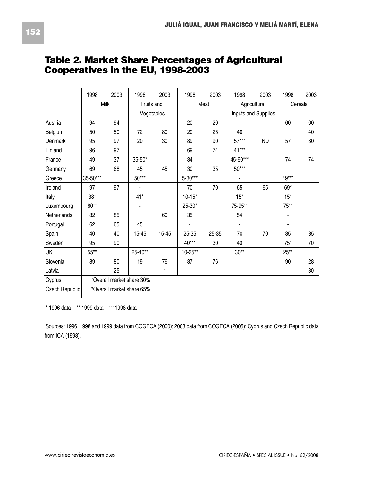|                | 1998     | 2003                      | 1998           | 2003       | 1998        | 2003      | 1998           | 2003                | 1998           | 2003 |
|----------------|----------|---------------------------|----------------|------------|-------------|-----------|----------------|---------------------|----------------|------|
|                |          | <b>Milk</b>               | Fruits and     |            |             | Meat      | Agricultural   |                     | Cereals        |      |
|                |          |                           |                | Vegetables |             |           |                | Inputs and Supplies |                |      |
| Austria        | 94       | 94                        |                |            | 20          | 20        |                |                     | 60             | 60   |
| Belgium        | 50       | 50                        | 72             | 80         | 20          | 25        | 40             |                     |                | 40   |
| <b>Denmark</b> | 95       | 97                        | 20             | 30         | 89          | 90        | $57***$        | <b>ND</b>           | 57             | 80   |
| Finland        | 96       | 97                        |                |            | 69          | 74        | $41***$        |                     |                |      |
| France         | 49       | 37                        | $35 - 50*$     |            | 34          |           | 45-60***       |                     | 74             | 74   |
| Germany        | 69       | 68                        | 45             | 45         | 30          | 35        | $50***$        |                     |                |      |
| Greece         | 35-50*** |                           | 50***          |            | 5-30***     |           | $\blacksquare$ |                     | 49***          |      |
| Ireland        | 97       | 97                        | $\blacksquare$ |            | 70          | 70        | 65             | 65                  | $69*$          |      |
| Italy          | $38*$    |                           | $41*$          |            | $10 - 15*$  |           | $15*$          |                     | $15*$          |      |
| Luxembourg     | $80**$   |                           | $\blacksquare$ |            | 25-30*      |           | 75-95**        |                     | $75***$        |      |
| Netherlands    | 82       | 85                        |                | 60         | 35          |           | 54             |                     | $\blacksquare$ |      |
| Portugal       | 62       | 65                        | 45             |            |             |           | $\blacksquare$ |                     | ٠              |      |
| Spain          | 40       | 40                        | 15-45          | 15-45      | 25-35       | $25 - 35$ | 70             | 70                  | 35             | 35   |
| Sweden         | 95       | 90                        |                |            | $40***$     | 30        | 40             |                     | $75*$          | 70   |
| UK             | 55**     |                           | 25-40**        |            | $10 - 25**$ |           | $30**$         |                     | $25**$         |      |
| Slovenia       | 89       | 80                        | 19             | 76         | 87          | 76        |                |                     | 90             | 28   |
| Latvia         |          | 25                        |                | 1          |             |           |                |                     |                | 30   |
| Cyprus         |          | *Overall market share 30% |                |            |             |           |                |                     |                |      |
| Czech Republic |          | *Overall market share 65% |                |            |             |           |                |                     |                |      |

## **Table 2. Market Share Percentages of Agricultural Cooperatives in the EU, 1998-2003**

\* 1996 data \*\* 1999 data \*\*\*1998 data

Sources: 1996, 1998 and 1999 data from COGECA (2000); 2003 data from COGECA (2005); Cyprus and Czech Republic data from ICA (1998).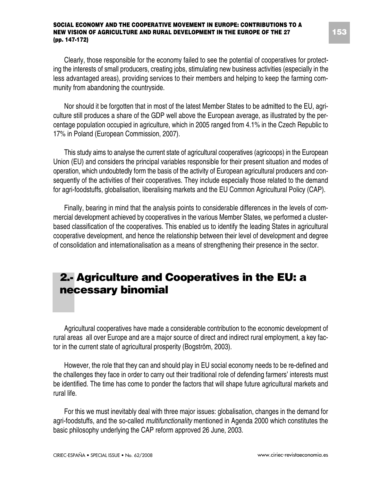Clearly, those responsible for the economy failed to see the potential of cooperatives for protecting the interests of small producers, creating jobs, stimulating new business activities (especially in the less advantaged areas), providing services to their members and helping to keep the farming community from abandoning the countryside.

Nor should it be forgotten that in most of the latest Member States to be admitted to the EU, agriculture still produces a share of the GDP well above the European average, as illustrated by the percentage population occupied in agriculture, which in 2005 ranged from 4.1% in the Czech Republic to 17% in Poland (European Commission, 2007).

This study aims to analyse the current state of agricultural cooperatives (agricoops) in the European Union (EU) and considers the principal variables responsible for their present situation and modes of operation, which undoubtedly form the basis of the activity of European agricultural producers and consequently of the activities of their cooperatives. They include especially those related to the demand for agri-foodstuffs, globalisation, liberalising markets and the EU Common Agricultural Policy (CAP).

Finally, bearing in mind that the analysis points to considerable differences in the levels of commercial development achieved by cooperatives in the various Member States, we performed a clusterbased classification of the cooperatives. This enabled us to identify the leading States in agricultural cooperative development, and hence the relationship between their level of development and degree of consolidation and internationalisation as a means of strengthening their presence in the sector.

# **2.- Agriculture and Cooperatives in the EU: a necessary binomial**

Agricultural cooperatives have made a considerable contribution to the economic development of rural areas all over Europe and are a major source of direct and indirect rural employment, a key factor in the current state of agricultural prosperity (Bogström, 2003).

However, the role that they can and should play in EU social economy needs to be re-defined and the challenges they face in order to carry out their traditional role of defending farmers' interests must be identified. The time has come to ponder the factors that will shape future agricultural markets and rural life.

For this we must inevitably deal with three major issues: globalisation, changes in the demand for agri-foodstuffs, and the so-called *multifunctionality* mentioned in Agenda 2000 which constitutes the basic philosophy underlying the CAP reform approved 26 June, 2003.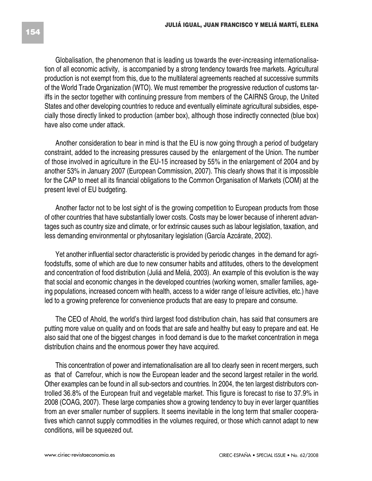Globalisation, the phenomenon that is leading us towards the ever-increasing internationalisation of all economic activity, is accompanied by a strong tendency towards free markets. Agricultural production is not exempt from this, due to the multilateral agreements reached at successive summits of the World Trade Organization (WTO). We must remember the progressive reduction of customs tariffs in the sector together with continuing pressure from members of the CAIRNS Group, the United States and other developing countries to reduce and eventually eliminate agricultural subsidies, especially those directly linked to production (amber box), although those indirectly connected (blue box) have also come under attack.

Another consideration to bear in mind is that the EU is now going through a period of budgetary constraint, added to the increasing pressures caused by the enlargement of the Union. The number of those involved in agriculture in the EU-15 increased by 55% in the enlargement of 2004 and by another 53% in January 2007 (European Commission, 2007). This clearly shows that it is impossible for the CAP to meet all its financial obligations to the Common Organisation of Markets (COM) at the present level of EU budgeting.

Another factor not to be lost sight of is the growing competition to European products from those of other countries that have substantially lower costs. Costs may be lower because of inherent advantages such as country size and climate, or for extrinsic causes such as labour legislation, taxation, and less demanding environmental or phytosanitary legislation (García Azcárate, 2002).

Yet another influential sector characteristic is provided by periodic changes in the demand for agrifoodstuffs, some of which are due to new consumer habits and attitudes, others to the development and concentration of food distribution (Juliá and Meliá, 2003). An example of this evolution is the way that social and economic changes in the developed countries (working women, smaller families, ageing populations, increased concern with health, access to a wider range of leisure activities, etc.) have led to a growing preference for convenience products that are easy to prepare and consume.

The CEO of Ahold, the world's third largest food distribution chain, has said that consumers are putting more value on quality and on foods that are safe and healthy but easy to prepare and eat. He also said that one of the biggest changes in food demand is due to the market concentration in mega distribution chains and the enormous power they have acquired.

This concentration of power and internationalisation are all too clearly seen in recent mergers, such as that of Carrefour, which is now the European leader and the second largest retailer in the world. Other examples can be found in all sub-sectors and countries. In 2004, the ten largest distributors controlled 36.8% of the European fruit and vegetable market. This figure is forecast to rise to 37.9% in 2008 (COAG, 2007). These large companies show a growing tendency to buy in ever larger quantities from an ever smaller number of suppliers. It seems inevitable in the long term that smaller cooperatives which cannot supply commodities in the volumes required, or those which cannot adapt to new conditions, will be squeezed out.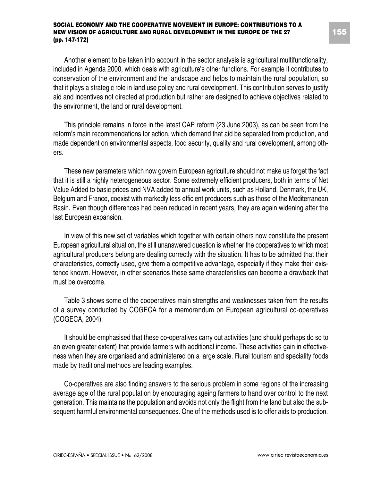Another element to be taken into account in the sector analysis is agricultural multifunctionality, included in Agenda 2000, which deals with agriculture's other functions. For example it contributes to conservation of the environment and the landscape and helps to maintain the rural population, so that it plays a strategic role in land use policy and rural development. This contribution serves to justify aid and incentives not directed at production but rather are designed to achieve objectives related to the environment, the land or rural development.

This principle remains in force in the latest CAP reform (23 June 2003), as can be seen from the reform's main recommendations for action, which demand that aid be separated from production, and made dependent on environmental aspects, food security, quality and rural development, among others.

These new parameters which now govern European agriculture should not make us forget the fact that it is still a highly heterogeneous sector. Some extremely efficient producers, both in terms of Net Value Added to basic prices and NVA added to annual work units, such as Holland, Denmark, the UK, Belgium and France, coexist with markedly less efficient producers such as those of the Mediterranean Basin. Even though differences had been reduced in recent years, they are again widening after the last European expansion.

In view of this new set of variables which together with certain others now constitute the present European agricultural situation, the still unanswered question is whether the cooperatives to which most agricultural producers belong are dealing correctly with the situation. It has to be admitted that their characteristics, correctly used, give them a competitive advantage, especially if they make their existence known. However, in other scenarios these same characteristics can become a drawback that must be overcome.

Table 3 shows some of the cooperatives main strengths and weaknesses taken from the results of a survey conducted by COGECA for a memorandum on European agricultural co-operatives (COGECA, 2004).

It should be emphasised that these co-operatives carry out activities (and should perhaps do so to an even greater extent) that provide farmers with additional income. These activities gain in effectiveness when they are organised and administered on a large scale. Rural tourism and speciality foods made by traditional methods are leading examples.

Co-operatives are also finding answers to the serious problem in some regions of the increasing average age of the rural population by encouraging ageing farmers to hand over control to the next generation. This maintains the population and avoids not only the flight from the land but also the subsequent harmful environmental consequences. One of the methods used is to offer aids to production.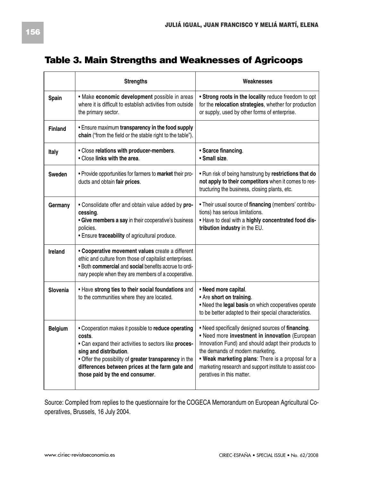## **Table 3. Main Strengths and Weaknesses of Agricoops**

|                | <b>Strengths</b>                                                                                                                                                                                                                                                                                 | Weaknesses                                                                                                                                                                                                                                                                                                                                   |
|----------------|--------------------------------------------------------------------------------------------------------------------------------------------------------------------------------------------------------------------------------------------------------------------------------------------------|----------------------------------------------------------------------------------------------------------------------------------------------------------------------------------------------------------------------------------------------------------------------------------------------------------------------------------------------|
| Spain          | • Make economic development possible in areas<br>where it is difficult to establish activities from outside<br>the primary sector.                                                                                                                                                               | . Strong roots in the locality reduce freedom to opt<br>for the relocation strategies, whether for production<br>or supply, used by other forms of enterprise.                                                                                                                                                                               |
| Finland        | . Ensure maximum transparency in the food supply<br>chain ("from the field or the stable right to the table").                                                                                                                                                                                   |                                                                                                                                                                                                                                                                                                                                              |
| Italy          | • Close relations with producer-members.<br>. Close links with the area.                                                                                                                                                                                                                         | • Scarce financing.<br>· Small size.                                                                                                                                                                                                                                                                                                         |
| Sweden         | . Provide opportunities for farmers to market their pro-<br>ducts and obtain fair prices.                                                                                                                                                                                                        | . Run risk of being hamstrung by restrictions that do<br>not apply to their competitors when it comes to res-<br>tructuring the business, closing plants, etc.                                                                                                                                                                               |
| Germany        | . Consolidate offer and obtain value added by pro-<br>cessing.<br>• Give members a say in their cooperative's business<br>policies.<br>· Ensure traceability of agricultural produce.                                                                                                            | . Their usual source of financing (members' contribu-<br>tions) has serious limitations.<br>. Have to deal with a highly concentrated food dis-<br>tribution industry in the EU.                                                                                                                                                             |
| Ireland        | • Cooperative movement values create a different<br>ethic and culture from those of capitalist enterprises.<br>. Both commercial and social benefits accrue to ordi-<br>nary people when they are members of a cooperative.                                                                      |                                                                                                                                                                                                                                                                                                                                              |
| Slovenia       | . Have strong ties to their social foundations and<br>to the communities where they are located.                                                                                                                                                                                                 | • Need more capital.<br>• Are short on training.<br>. Need the legal basis on which cooperatives operate<br>to be better adapted to their special characteristics.                                                                                                                                                                           |
| <b>Belgium</b> | . Cooperation makes it possible to reduce operating<br>costs.<br>. Can expand their activities to sectors like proces-<br>sing and distribution.<br>. Offer the possibility of greater transparency in the<br>differences between prices at the farm gate and<br>those paid by the end consumer. | . Need specifically designed sources of financing.<br>. Need more investment in innovation (European<br>Innovation Fund) and should adapt their products to<br>the demands of modern marketing.<br>. Weak marketing plans: There is a proposal for a<br>marketing research and support institute to assist coo-<br>peratives in this matter. |

Source: Compiled from replies to the questionnaire for the COGECA Memorandum on European Agricultural Cooperatives, Brussels, 16 July 2004.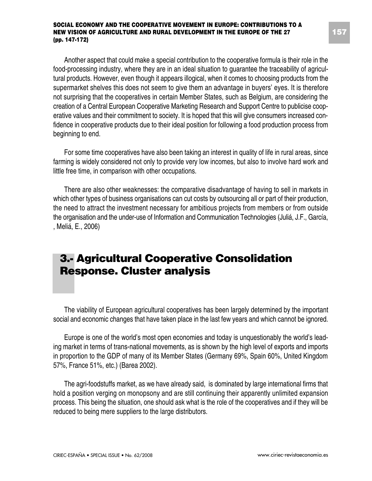Another aspect that could make a special contribution to the cooperative formula is their role in the food-processing industry, where they are in an ideal situation to guarantee the traceability of agricultural products. However, even though it appears illogical, when it comes to choosing products from the supermarket shelves this does not seem to give them an advantage in buyers' eyes. It is therefore not surprising that the cooperatives in certain Member States, such as Belgium, are considering the creation of a Central European Cooperative Marketing Research and Support Centre to publicise cooperative values and their commitment to society. It is hoped that this will give consumers increased confidence in cooperative products due to their ideal position for following a food production process from beginning to end.

For some time cooperatives have also been taking an interest in quality of life in rural areas, since farming is widely considered not only to provide very low incomes, but also to involve hard work and little free time, in comparison with other occupations.

There are also other weaknesses: the comparative disadvantage of having to sell in markets in which other types of business organisations can cut costs by outsourcing all or part of their production, the need to attract the investment necessary for ambitious projects from members or from outside the organisation and the under-use of Information and Communication Technologies (Juliá, J.F., García, , Meliá, E., 2006)

# **3.- Agricultural Cooperative Consolidation Response. Cluster analysis**

The viability of European agricultural cooperatives has been largely determined by the important social and economic changes that have taken place in the last few years and which cannot be ignored.

Europe is one of the world's most open economies and today is unquestionably the world's leading market in terms of trans-national movements, as is shown by the high level of exports and imports in proportion to the GDP of many of its Member States (Germany 69%, Spain 60%, United Kingdom 57%, France 51%, etc.) (Barea 2002).

The agri-foodstuffs market, as we have already said, is dominated by large international firms that hold a position verging on monopsony and are still continuing their apparently unlimited expansion process. This being the situation, one should ask what is the role of the cooperatives and if they will be reduced to being mere suppliers to the large distributors.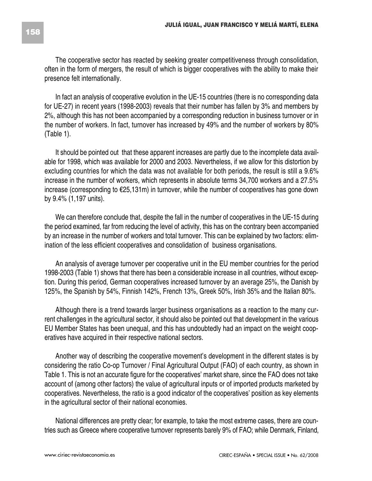The cooperative sector has reacted by seeking greater competitiveness through consolidation, often in the form of mergers, the result of which is bigger cooperatives with the ability to make their presence felt internationally.

In fact an analysis of cooperative evolution in the UE-15 countries (there is no corresponding data for UE-27) in recent years (1998-2003) reveals that their number has fallen by 3% and members by 2%, although this has not been accompanied by a corresponding reduction in business turnover or in the number of workers. In fact, turnover has increased by 49% and the number of workers by 80% (Table 1).

It should be pointed out that these apparent increases are partly due to the incomplete data available for 1998, which was available for 2000 and 2003. Nevertheless, if we allow for this distortion by excluding countries for which the data was not available for both periods, the result is still a 9.6% increase in the number of workers, which represents in absolute terms 34,700 workers and a 27.5% increase (corresponding to €25,131m) in turnover, while the number of cooperatives has gone down by 9.4% (1,197 units).

We can therefore conclude that, despite the fall in the number of cooperatives in the UE-15 during the period examined, far from reducing the level of activity, this has on the contrary been accompanied by an increase in the number of workers and total turnover. This can be explained by two factors: elimination of the less efficient cooperatives and consolidation of business organisations.

An analysis of average turnover per cooperative unit in the EU member countries for the period 1998-2003 (Table 1) shows that there has been a considerable increase in all countries, without exception. During this period, German cooperatives increased turnover by an average 25%, the Danish by 125%, the Spanish by 54%, Finnish 142%, French 13%, Greek 50%, Irish 35% and the Italian 80%.

Although there is a trend towards larger business organisations as a reaction to the many current challenges in the agricultural sector, it should also be pointed out that development in the various EU Member States has been unequal, and this has undoubtedly had an impact on the weight cooperatives have acquired in their respective national sectors.

Another way of describing the cooperative movement's development in the different states is by considering the ratio Co-op Turnover / Final Agricultural Output (FAO) of each country, as shown in Table 1. This is not an accurate figure for the cooperatives' market share, since the FAO does not take account of (among other factors) the value of agricultural inputs or of imported products marketed by cooperatives. Nevertheless, the ratio is a good indicator of the cooperatives' position as key elements in the agricultural sector of their national economies.

National differences are pretty clear; for example, to take the most extreme cases, there are countries such as Greece where cooperative turnover represents barely 9% of FAO; while Denmark, Finland,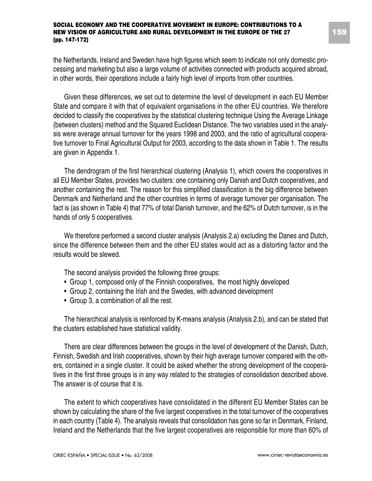the Netherlands, Ireland and Sweden have high figures which seem to indicate not only domestic processing and marketing but also a large volume of activities connected with products acquired abroad, in other words, their operations include a fairly high level of imports from other countries.

Given these differences, we set out to determine the level of development in each EU Member State and compare it with that of equivalent organisations in the other EU countries. We therefore decided to classify the cooperatives by the statistical clustering technique Using the Average Linkage (between clusters) method and the Squared Euclidean Distance. The two variables used in the analysis were average annual turnover for the years 1998 and 2003, and the ratio of agricultural cooperative turnover to Final Agricultural Output for 2003, according to the data shown in Table 1. The results are given in Appendix 1.

The dendrogram of the first hierarchical clustering (Analysis 1), which covers the cooperatives in all EU Member States, provides two clusters: one containing only Danish and Dutch cooperatives, and another containing the rest. The reason for this simplified classification is the big difference between Denmark and Netherland and the other countries in terms of average turnover per organisation. The fact is (as shown in Table 4) that 77% of total Danish turnover, and the 62% of Dutch turnover, is in the hands of only 5 cooperatives.

We therefore performed a second cluster analysis (Analysis 2.a) excluding the Danes and Dutch, since the difference between them and the other EU states would act as a distorting factor and the results would be slewed.

The second analysis provided the following three groups:

- Group 1, composed only of the Finnish cooperatives, the most highly developed
- Group 2, containing the Irish and the Swedes, with advanced development
- Group 3, a combination of all the rest.

The hierarchical analysis is reinforced by K-means analysis (Analysis 2.b), and can be stated that the clusters established have statistical validity.

There are clear differences between the groups in the level of development of the Danish, Dutch, Finnish, Swedish and Irish cooperatives, shown by their high average turnover compared with the others, contained in a single cluster. It could be asked whether the strong development of the cooperatives in the first three groups is in any way related to the strategies of consolidation described above. The answer is of course that it is.

The extent to which cooperatives have consolidated in the different EU Member States can be shown by calculating the share of the five largest cooperatives in the total turnover of the cooperatives in each country (Table 4). The analysis reveals that consolidation has gone so far in Denmark, Finland, Ireland and the Netherlands that the five largest cooperatives are responsible for more than 60% of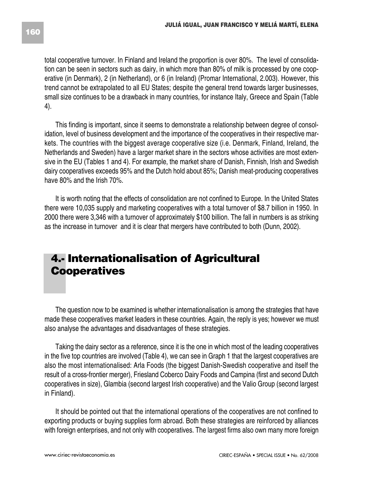total cooperative turnover. In Finland and Ireland the proportion is over 80%. The level of consolidation can be seen in sectors such as dairy, in which more than 80% of milk is processed by one cooperative (in Denmark), 2 (in Netherland), or 6 (in Ireland) (Promar International, 2.003). However, this trend cannot be extrapolated to all EU States; despite the general trend towards larger businesses, small size continues to be a drawback in many countries, for instance Italy, Greece and Spain (Table 4).

This finding is important, since it seems to demonstrate a relationship between degree of consolidation, level of business development and the importance of the cooperatives in their respective markets. The countries with the biggest average cooperative size (i.e. Denmark, Finland, Ireland, the Netherlands and Sweden) have a larger market share in the sectors whose activities are most extensive in the EU (Tables 1 and 4). For example, the market share of Danish, Finnish, Irish and Swedish dairy cooperatives exceeds 95% and the Dutch hold about 85%; Danish meat-producing cooperatives have 80% and the Irish 70%.

It is worth noting that the effects of consolidation are not confined to Europe. In the United States there were 10,035 supply and marketing cooperatives with a total turnover of \$8.7 billion in 1950. In 2000 there were 3,346 with a turnover of approximately \$100 billion. The fall in numbers is as striking as the increase in turnover and it is clear that mergers have contributed to both (Dunn, 2002).

# **4.- Internationalisation of Agricultural Cooperatives**

The question now to be examined is whether internationalisation is among the strategies that have made these cooperatives market leaders in these countries. Again, the reply is yes; however we must also analyse the advantages and disadvantages of these strategies.

Taking the dairy sector as a reference, since it is the one in which most of the leading cooperatives in the five top countries are involved (Table 4), we can see in Graph 1 that the largest cooperatives are also the most internationalised: Arla Foods (the biggest Danish-Swedish cooperative and itself the result of a cross-frontier merger), Friesland Coberco Dairy Foods and Campina (first and second Dutch cooperatives in size), Glambia (second largest Irish cooperative) and the Valio Group (second largest in Finland).

It should be pointed out that the international operations of the cooperatives are not confined to exporting products or buying supplies form abroad. Both these strategies are reinforced by alliances with foreign enterprises, and not only with cooperatives. The largest firms also own many more foreign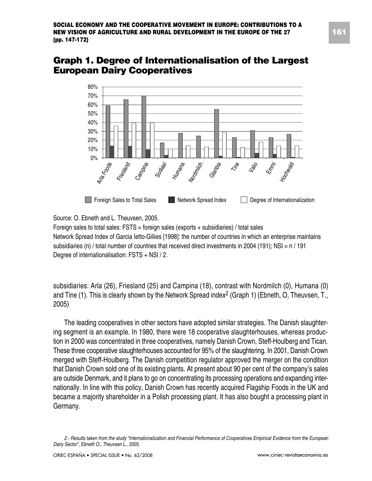### **Graph 1. Degree of Internationalisation of the Largest European Dairy Cooperatives**



Source: O. Ebneth and L. Theuvsen, 2005.

Foreign sales to total sales:  $FSTS =$  foreign sales (exports  $+$  subsidiaries) / total sales Network Spread Index of Garcia Ietto-Giliies [1998]: the number of countries in which an enterprise maintains subsidiaries (n) / total number of countries that received direct investments in 2004 (191); NSI = n / 191 Degree of internationalisation: FSTS + NSI / 2.

subsidiaries: Arla (26), Friesland (25) and Campina (18), contrast with Nordmilch (0), Humana (0) and Tine (1). This is clearly shown by the Network Spread index<sup>2</sup> (Graph 1) (Ebneth, O, Theuvsen, T., 2005)

The leading cooperatives in other sectors have adopted similar strategies. The Danish slaughtering segment is an example. In 1980, there were 18 cooperative slaughterhouses, whereas production in 2000 was concentrated in three cooperatives, namely Danish Crown, Steff-Houlberg and Tican. These three cooperative slaughterhouses accounted for 95% of the slaughtering. In 2001, Danish Crown merged with Steff-Houlberg. The Danish competition regulator approved the merger on the condition that Danish Crown sold one of its existing plants. At present about 90 per cent of the company's sales are outside Denmark, and it plans to go on concentrating its processing operations and expanding internationally. In line with this policy, Danish Crown has recently acquired Flagship Foods in the UK and became a majority shareholder in a Polish processing plant. It has also bought a processing plant in Germany.

*<sup>2.-</sup> Results taken from the study "Internationalization and Financial Performance of Cooperatives Empirical Evidence from the European Dairy Sector", Ebneth O., Theuvsen L., 2005.*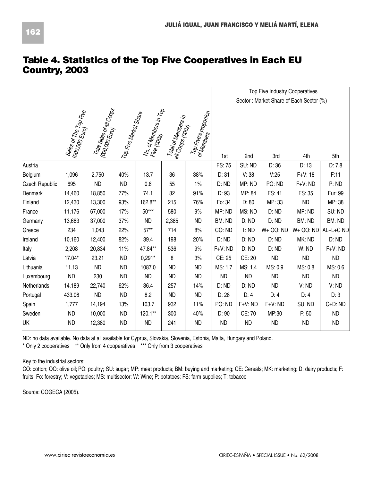|                |                                                                           |                                                                      |                       |                       |                                                                                                                     |                                     |           |           | <b>Top Five Industry Cooperatives</b> |                                         |           |
|----------------|---------------------------------------------------------------------------|----------------------------------------------------------------------|-----------------------|-----------------------|---------------------------------------------------------------------------------------------------------------------|-------------------------------------|-----------|-----------|---------------------------------------|-----------------------------------------|-----------|
|                |                                                                           |                                                                      |                       |                       |                                                                                                                     |                                     |           |           |                                       | Sector: Market Share of Each Sector (%) |           |
|                | Sales of The Top Five<br>  <sup>(000,000 Euro</sup> ) <sup>Op Fiv</sup> e | 1 000 3068 0f all Co <sub>Ops</sub>  <br>  000,000 Euro <sub>)</sub> | Top Five Marker Share | No. of Members in Top | Total of Members in<br>$\frac{ \mathit{all}\mathit{Cop_{DS}}_{\mathit{OQQ}_\mathit{OS}} }{\mathit{OQQ}_\mathit{S}}$ | Top Fire's proportion<br>of Members | 1st       | 2nd       | 3rd                                   | 4th                                     | 5th       |
| Austria        |                                                                           |                                                                      |                       |                       |                                                                                                                     |                                     | FS: 75    | SU: ND    | D: 36                                 | D: 13                                   | D: 7.8    |
| Belgium        | 1,096                                                                     | 2,750                                                                | 40%                   | 13.7                  | 36                                                                                                                  | 38%                                 | D: 31     | V: 38     | V.25                                  | $F + V: 18$                             | F:11      |
| Czech Republic | 695                                                                       | <b>ND</b>                                                            | <b>ND</b>             | 0.6                   | 55                                                                                                                  | 1%                                  | D: ND     | MP: ND    | PO: ND                                | $F+V$ : ND                              | P: ND     |
| Denmark        | 14,460                                                                    | 18,850                                                               | 77%                   | 74.1                  | 82                                                                                                                  | 91%                                 | D: 93     | MP: 84    | FS: 41                                | FS: 35                                  | Fur: 99   |
| Finland        | 12,430                                                                    | 13,300                                                               | 93%                   | 162.8**               | 215                                                                                                                 | 76%                                 | Fo: 34    | D: 80     | MP: 33                                | <b>ND</b>                               | MP: 38    |
| France         | 11,176                                                                    | 67,000                                                               | 17%                   | $50***$               | 580                                                                                                                 | 9%                                  | MP: ND    | MS: ND    | D: ND                                 | MP: ND                                  | SU: ND    |
| Germany        | 13,683                                                                    | 37,000                                                               | 37%                   | <b>ND</b>             | 2,385                                                                                                               | <b>ND</b>                           | BM: ND    | D: ND     | D: ND                                 | BM: ND                                  | BM: ND    |
| Greece         | 234                                                                       | 1,043                                                                | 22%                   | $57**$                | 714                                                                                                                 | 8%                                  | CO: ND    | T:ND      | $W+OO:ND$                             | W+ OO: ND                               | AL+L+C ND |
| Ireland        | 10,160                                                                    | 12,400                                                               | 82%                   | 39.4                  | 198                                                                                                                 | 20%                                 | D: ND     | D: ND     | D:ND                                  | MK: ND                                  | D: ND     |
| <b>Italy</b>   | 2,208                                                                     | 20,834                                                               | 11%                   | 47.84**               | 536                                                                                                                 | 9%                                  | $F+V:ND$  | D: ND     | D: ND                                 | W: ND                                   | $F+V:ND$  |
| Latvia         | 17.04*                                                                    | 23.21                                                                | <b>ND</b>             | $0.291*$              | 8                                                                                                                   | 3%                                  | CE: 25    | CE: 20    | <b>ND</b>                             | <b>ND</b>                               | <b>ND</b> |
| Lithuania      | 11.13                                                                     | <b>ND</b>                                                            | <b>ND</b>             | 1087.0                | <b>ND</b>                                                                                                           | <b>ND</b>                           | MS: 1.7   | MS: 1.4   | MS: 0.9                               | MS: 0.8                                 | MS: 0.6   |
| Luxembourg     | <b>ND</b>                                                                 | 230                                                                  | <b>ND</b>             | <b>ND</b>             | <b>ND</b>                                                                                                           | <b>ND</b>                           | <b>ND</b> | <b>ND</b> | <b>ND</b>                             | <b>ND</b>                               | <b>ND</b> |
| Netherlands    | 14,189                                                                    | 22,740                                                               | 62%                   | 36.4                  | 257                                                                                                                 | 14%                                 | D: ND     | D: ND     | <b>ND</b>                             | V: ND                                   | V:ND      |
| Portugal       | 433.06                                                                    | <b>ND</b>                                                            | <b>ND</b>             | 8.2                   | <b>ND</b>                                                                                                           | <b>ND</b>                           | D: 28     | D: 4      | D: 4                                  | D: 4                                    | D:3       |
| Spain          | 1,777                                                                     | 14,194                                                               | 13%                   | 103.7                 | 932                                                                                                                 | 11%                                 | PO: ND    | $F+V:ND$  | F+V: ND                               | SU: ND                                  | C+D: ND   |
| Sweden         | <b>ND</b>                                                                 | 10,000                                                               | <b>ND</b>             | $120.1**$             | 300                                                                                                                 | 40%                                 | D: 90     | CE: 70    | MP:30                                 | F: 50                                   | <b>ND</b> |
| UK             | <b>ND</b>                                                                 | 12,380                                                               | <b>ND</b>             | <b>ND</b>             | 241                                                                                                                 | <b>ND</b>                           | <b>ND</b> | <b>ND</b> | <b>ND</b>                             | <b>ND</b>                               | <b>ND</b> |

### **Table 4. Statistics of the Top Five Cooperatives in Each EU Country, 2003**

ND: no data available. No data at all available for Cyprus, Slovakia, Slovenia, Estonia, Malta, Hungary and Poland. \* Only 2 cooperatives \*\* Only from 4 cooperatives \*\*\* Only from 3 cooperatives

Key to the industrial sectors:

CO: cotton; OO: olive oil; PO: poultry; SU: sugar; MP: meat products; BM: buying and marketing; CE: Cereals; MK: marketing; D: dairy products; F: fruits; Fo: forestry; V: vegetables; MS: multisector; W: Wine; P: potatoes; FS: farm supplies; T: tobacco

Source: COGECA (2005).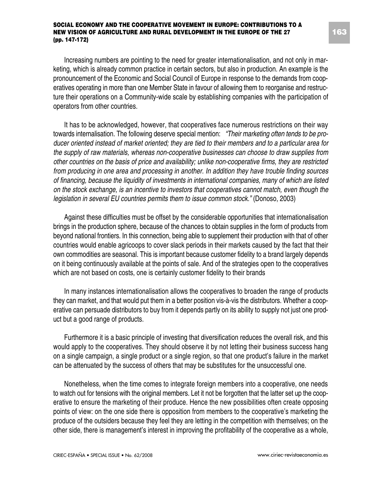Increasing numbers are pointing to the need for greater internationalisation, and not only in marketing, which is already common practice in certain sectors, but also in production. An example is the pronouncement of the Economic and Social Council of Europe in response to the demands from cooperatives operating in more than one Member State in favour of allowing them to reorganise and restructure their operations on a Community-wide scale by establishing companies with the participation of operators from other countries.

It has to be acknowledged, however, that cooperatives face numerous restrictions on their way towards internalisation. The following deserve special mention: *"Their marketing often tends to be producer oriented instead of market oriented; they are tied to their members and to a particular area for the supply of raw materials, whereas non-cooperative businesses can choose to draw supplies from other countries on the basis of price and availability; unlike non-cooperative firms, they are restricted from producing in one area and processing in another. In addition they have trouble finding sources of financing, because the liquidity of investments in international companies, many of which are listed on the stock exchange, is an incentive to investors that cooperatives cannot match, even though the legislation in several EU countries permits them to issue common stock."* (Donoso, 2003)

Against these difficulties must be offset by the considerable opportunities that internationalisation brings in the production sphere, because of the chances to obtain supplies in the form of products from beyond national frontiers. In this connection, being able to supplement their production with that of other countries would enable agricoops to cover slack periods in their markets caused by the fact that their own commodities are seasonal. This is important because customer fidelity to a brand largely depends on it being continuously available at the points of sale. And of the strategies open to the cooperatives which are not based on costs, one is certainly customer fidelity to their brands

In many instances internationalisation allows the cooperatives to broaden the range of products they can market, and that would put them in a better position vis-à-vis the distributors. Whether a cooperative can persuade distributors to buy from it depends partly on its ability to supply not just one product but a good range of products.

Furthermore it is a basic principle of investing that diversification reduces the overall risk, and this would apply to the cooperatives. They should observe it by not letting their business success hang on a single campaign, a single product or a single region, so that one product's failure in the market can be attenuated by the success of others that may be substitutes for the unsuccessful one.

Nonetheless, when the time comes to integrate foreign members into a cooperative, one needs to watch out for tensions with the original members. Let it not be forgotten that the latter set up the cooperative to ensure the marketing of their produce. Hence the new possibilities often create opposing points of view: on the one side there is opposition from members to the cooperative's marketing the produce of the outsiders because they feel they are letting in the competition with themselves; on the other side, there is management's interest in improving the profitability of the cooperative as a whole,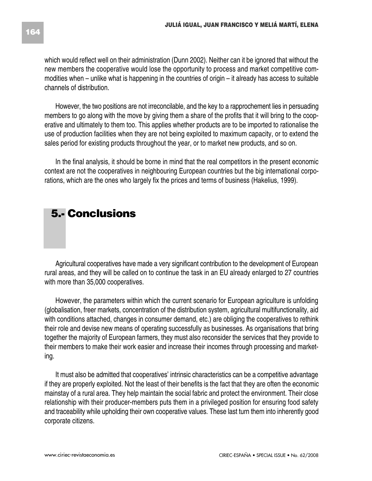which would reflect well on their administration (Dunn 2002). Neither can it be ignored that without the new members the cooperative would lose the opportunity to process and market competitive commodities when – unlike what is happening in the countries of origin – it already has access to suitable channels of distribution.

However, the two positions are not irreconcilable, and the key to a rapprochement lies in persuading members to go along with the move by giving them a share of the profits that it will bring to the cooperative and ultimately to them too. This applies whether products are to be imported to rationalise the use of production facilities when they are not being exploited to maximum capacity, or to extend the sales period for existing products throughout the year, or to market new products, and so on.

In the final analysis, it should be borne in mind that the real competitors in the present economic context are not the cooperatives in neighbouring European countries but the big international corporations, which are the ones who largely fix the prices and terms of business (Hakelius, 1999).

# **5.- Conclusions**

Agricultural cooperatives have made a very significant contribution to the development of European rural areas, and they will be called on to continue the task in an EU already enlarged to 27 countries with more than 35,000 cooperatives.

However, the parameters within which the current scenario for European agriculture is unfolding (globalisation, freer markets, concentration of the distribution system, agricultural multifunctionality, aid with conditions attached, changes in consumer demand, etc.) are obliging the cooperatives to rethink their role and devise new means of operating successfully as businesses. As organisations that bring together the majority of European farmers, they must also reconsider the services that they provide to their members to make their work easier and increase their incomes through processing and marketing.

It must also be admitted that cooperatives' intrinsic characteristics can be a competitive advantage if they are properly exploited. Not the least of their benefits is the fact that they are often the economic mainstay of a rural area. They help maintain the social fabric and protect the environment. Their close relationship with their producer-members puts them in a privileged position for ensuring food safety and traceability while upholding their own cooperative values. These last turn them into inherently good corporate citizens.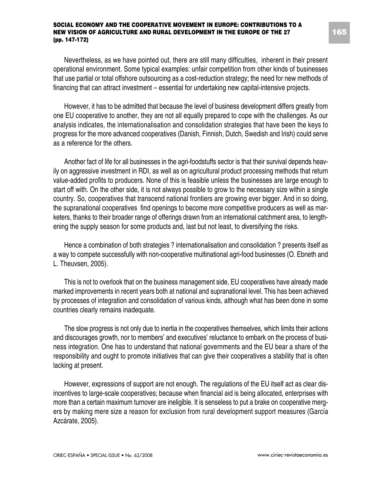Nevertheless, as we have pointed out, there are still many difficulties, inherent in their present operational environment. Some typical examples: unfair competition from other kinds of businesses that use partial or total offshore outsourcing as a cost-reduction strategy; the need for new methods of financing that can attract investment – essential for undertaking new capital-intensive projects.

However, it has to be admitted that because the level of business development differs greatly from one EU cooperative to another, they are not all equally prepared to cope with the challenges. As our analysis indicates, the internationalisation and consolidation strategies that have been the keys to progress for the more advanced cooperatives (Danish, Finnish, Dutch, Swedish and Irish) could serve as a reference for the others.

Another fact of life for all businesses in the agri-foodstuffs sector is that their survival depends heavily on aggressive investment in RDI, as well as on agricultural product processing methods that return value-added profits to producers. None of this is feasible unless the businesses are large enough to start off with. On the other side, it is not always possible to grow to the necessary size within a single country. So, cooperatives that transcend national frontiers are growing ever bigger. And in so doing, the supranational cooperatives find openings to become more competitive producers as well as marketers, thanks to their broader range of offerings drawn from an international catchment area, to lengthening the supply season for some products and, last but not least, to diversifying the risks.

Hence a combination of both strategies ? internationalisation and consolidation ? presents itself as a way to compete successfully with non-cooperative multinational agri-food businesses (O. Ebneth and L. Theuvsen, 2005).

This is not to overlook that on the business management side, EU cooperatives have already made marked improvements in recent years both at national and supranational level. This has been achieved by processes of integration and consolidation of various kinds, although what has been done in some countries clearly remains inadequate.

The slow progress is not only due to inertia in the cooperatives themselves, which limits their actions and discourages growth, nor to members' and executives' reluctance to embark on the process of business integration. One has to understand that national governments and the EU bear a share of the responsibility and ought to promote initiatives that can give their cooperatives a stability that is often lacking at present.

However, expressions of support are not enough. The regulations of the EU itself act as clear disincentives to large-scale cooperatives; because when financial aid is being allocated, enterprises with more than a certain maximum turnover are ineligible. It is senseless to put a brake on cooperative mergers by making mere size a reason for exclusion from rural development support measures (García Azcárate, 2005).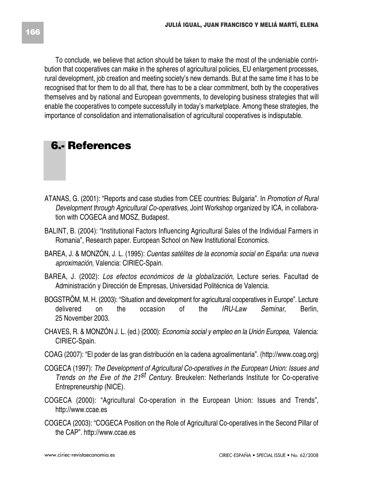To conclude, we believe that action should be taken to make the most of the undeniable contribution that cooperatives can make in the spheres of agricultural policies, EU enlargement processes, rural development, job creation and meeting society's new demands. But at the same time it has to be recognised that for them to do all that, there has to be a clear commitment, both by the cooperatives themselves and by national and European governments, to developing business strategies that will enable the cooperatives to compete successfully in today's marketplace. Among these strategies, the importance of consolidation and internationalisation of agricultural cooperatives is indisputable.

# **6.- References**

- ATANAS, G. (2001): "Reports and case studies from CEE countries: Bulgaria". In *Promotion of Rural Development through Agricultural Co-operatives*, Joint Workshop organized by ICA, in collaboration with COGECA and MOSZ, Budapest.
- BALINT, B. (2004): "Institutional Factors Influencing Agricultural Sales of the Individual Farmers in Romania", Research paper. European School on New Institutional Economics.
- BAREA, J. & MONZÓN, J. L. (1995): *Cuentas satélites de la economía social en España: una nueva aproximación,* Valencia: CIRIEC-Spain.
- BAREA, J. (2002): *Los efectos económicos de la globalización*, Lecture series. Facultad de Administración y Dirección de Empresas, Universidad Politécnica de Valencia.
- BOGSTRÖM, M. H. (2003): "Situation and development for agricultural cooperatives in Europe". Lecture delivered on the occasion of the *IRU-Law Seminar*, Berlin, 25 November 2003.
- CHAVES, R. & MONZÓN J. L. (ed.) (2000): *Economía social y empleo en la Unión Europea*, Valencia: CIRIEC-Spain.
- COAG (2007): "El poder de las gran distribución en la cadena agroalimentaria". (http://www.coag.org)
- COGECA (1997): *The Development of Agricultural Co-operatives in the European Union: Issues and Trends on the Eve of the 21st Century*. Breukelen: Netherlands Institute for Co-operative Entrepreneurship (NICE).
- COGECA (2000): "Agricultural Co-operation in the European Union: Issues and Trends", http://www.ccae.es
- COGECA (2003): "COGECA Position on the Role of Agricultural Co-operatives in the Second Pillar of the CAP". http://www.ccae.es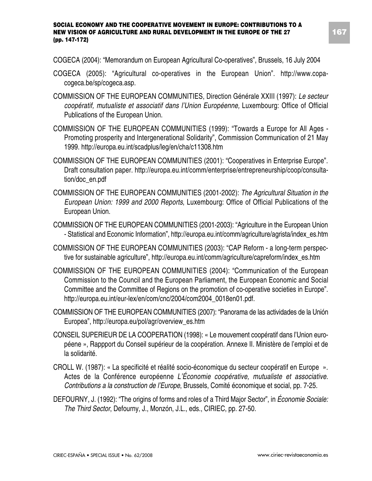COGECA (2004): "Memorandum on European Agricultural Co-operatives", Brussels, 16 July 2004

- COGECA (2005): "Agricultural co-operatives in the European Union". http://www.copacogeca.be/sp/cogeca.asp.
- COMMISSION OF THE EUROPEAN COMMUNITIES, Direction Générale XXIII (1997): *Le secteur coopératif, mutualiste et associatif dans l'Union Européenne,* Luxembourg: Office of Official Publications of the European Union.
- COMMISSION OF THE EUROPEAN COMMUNITIES (1999): "Towards a Europe for All Ages Promoting prosperity and Intergenerational Solidarity", Commission Communication of 21 May 1999. http://europa.eu.int/scadplus/leg/en/cha/c11308.htm
- COMMISSION OF THE EUROPEAN COMMUNITIES (2001): "Cooperatives in Enterprise Europe". Draft consultation paper. http://europa.eu.int/comm/enterprise/entrepreneurship/coop/consultation/doc\_en.pdf
- COMMISSION OF THE EUROPEAN COMMUNITIES (2001-2002): *The Agricultural Situation in the European Union: 1999 and 2000 Reports*, Luxembourg: Office of Official Publications of the European Union.
- COMMISSION OF THE EUROPEAN COMMUNITIES (2001-2003): "Agriculture in the European Union - Statistical and Economic Information", http://europa.eu.int/comm/agriculture/agrista/index\_es.htm
- COMMISSION OF THE EUROPEAN COMMUNITIES (2003): "CAP Reform a long-term perspective for sustainable agriculture", http://europa.eu.int/comm/agriculture/capreform/index\_es.htm
- COMMISSION OF THE EUROPEAN COMMUNITIES (2004): "Communication of the European Commission to the Council and the European Parliament, the European Economic and Social Committee and the Committee of Regions on the promotion of co-operative societies in Europe". http://europa.eu.int/eur-lex/en/com/cnc/2004/com2004\_0018en01.pdf.
- COMMISSION OF THE EUROPEAN COMMUNITIES (2007): "Panorama de las actividades de la Unión Europea", http://europa.eu/pol/agr/overview\_es.htm
- CONSEIL SUPERIEUR DE LA COOPERATION (1998): « Le mouvement coopératif dans l'Union européene », Rappport du Conseil supérieur de la coopération. Annexe II. Ministère de l'emploi et de la solidarité.
- CROLL W. (1987): « La specificité et réalité socio-économique du secteur coopératif en Europe ». Actes de la Conférence européenne *L'Économie coopérative, mutualiste et associative. Contributions a la construction de l'Europe*, Brussels, Comité économique et social, pp. 7-25.
- DEFOURNY, J. (1992): "The origins of forms and roles of a Third Major Sector", in *Économie Sociale: The Third Sector*, Defourny, J., Monzón, J.L., eds., CIRIEC, pp. 27-50.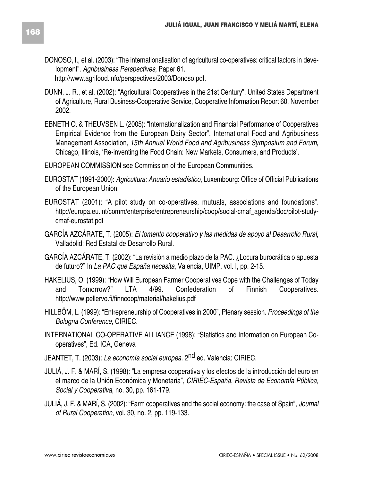- DONOSO, I., et al. (2003): "The internationalisation of agricultural co-operatives: critical factors in development". *Agribusiness Perspectives*, Paper 61. http://www.agrifood.info/perspectives/2003/Donoso.pdf.
- DUNN, J. R., et al. (2002): "Agricultural Cooperatives in the 21st Century", United States Department of Agriculture, Rural Business-Cooperative Service, Cooperative Information Report 60, November 2002.
- EBNETH O. & THEUVSEN L. (2005): "Internationalization and Financial Performance of Cooperatives Empirical Evidence from the European Dairy Sector", International Food and Agribusiness Management Association, *15th Annual World Food and Agribusiness Symposium and Forum*, Chicago, Illinois, 'Re-inventing the Food Chain: New Markets, Consumers, and Products'.
- EUROPEAN COMMISSION see Commission of the European Communities.
- EUROSTAT (1991-2000): *Agricultura: Anuario estadístico*, Luxembourg: Office of Official Publications of the European Union.
- EUROSTAT (2001): "A pilot study on co-operatives, mutuals, associations and foundations". http://europa.eu.int/comm/enterprise/entrepreneurship/coop/social-cmaf\_agenda/doc/pilot-studycmaf-eurostat.pdf
- GARCÍA AZCÁRATE, T. (2005): *El fomento cooperativo y las medidas de apoyo al Desarrollo Rural*, Valladolid: Red Estatal de Desarrollo Rural.
- GARCÍA AZCÁRATE, T. (2002): "La revisión a medio plazo de la PAC. ¿Locura burocrática o apuesta de futuro?" In *La PAC que España necesita*, Valencia, UIMP, vol. I, pp. 2-15.
- HAKELIUS, O. (1999): "How Will European Farmer Cooperatives Cope with the Challenges of Today and Tomorrow?" LTA 4/99. Confederation of Finnish Cooperatives. http://www.pellervo.fi/finncoop/material/hakelius.pdf
- HILLBÖM, L. (1999): "Entrepreneurship of Cooperatives in 2000", Plenary session. *Proceedings of the Bologna Conference*, CIRIEC.
- INTERNATIONAL CO-OPERATIVE ALLIANCE (1998): "Statistics and Information on European Cooperatives", Ed. ICA, Geneva
- JEANTET, T. (2003): *La economía social europea*. 2nd ed. Valencia: CIRIEC.
- JULIÁ, J. F. & MARÍ, S. (1998): "La empresa cooperativa y los efectos de la introducción del euro en el marco de la Unión Económica y Monetaria", *CIRIEC-España*, *Revista de Economía Pública, Social y Cooperativa*, no. 30, pp. 161-179.
- JULIÁ, J. F. & MARÍ, S. (2002): "Farm cooperatives and the social economy: the case of Spain", *Journal of Rural Cooperation*, vol. 30, no. 2, pp. 119-133.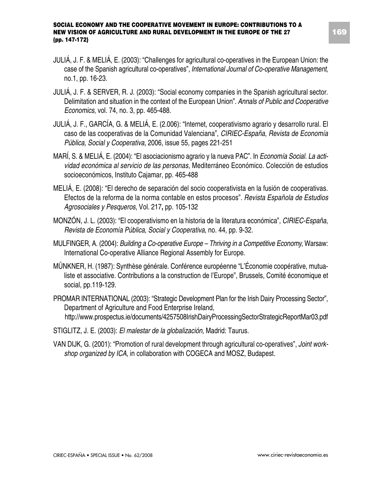- JULIÁ, J. F. & MELIÁ, E. (2003): "Challenges for agricultural co-operatives in the European Union: the case of the Spanish agricultural co-operatives", *International Journal of Co-operative Management*, no.1, pp. 16-23.
- JULIÁ, J. F. & SERVER, R. J. (2003): "Social economy companies in the Spanish agricultural sector. Delimitation and situation in the context of the European Union". *Annals of Public and Cooperative Economics*, vol. 74, no. 3, pp. 465-488.
- JULIÁ, J. F., GARCÍA, G. & MELIÁ, E. (2.006): "Internet, cooperativismo agrario y desarrollo rural. El caso de las cooperativas de la Comunidad Valenciana", *CIRIEC-España*, *Revista de Economía Pública, Social y Cooperativa*, 2006, issue 55, pages 221-251
- MARÍ, S. & MELIÁ, E. (2004): "El asociacionismo agrario y la nueva PAC". In *Economía Social. La actividad económica al servicio de las personas*, Mediterráneo Económico. Colección de estudios socioeconómicos, Instituto Cajamar, pp. 465-488
- MELIÁ, E. (2008): "El derecho de separación del socio cooperativista en la fusión de cooperativas. Efectos de la reforma de la norma contable en estos procesos". *Revista Española de Estudios Agrosociales y Pesqueros*, Vol. 217**,** pp. 105-132
- MONZÓN, J. L. (2003): "El cooperativismo en la historia de la literatura económica", *CIRIEC-España*, *Revista de Economía Pública, Social y Cooperativa*, no. 44, pp. 9-32.
- MULFINGER, A. (2004): *Building a Co-operative Europe Thriving in a Competitive Economy*, Warsaw: International Co-operative Alliance Regional Assembly for Europe.
- MÜNKNER, H. (1987): Synthèse générale. Conférence européenne "L'Économie coopérative, mutualiste et associative. Contributions a la construction de l'Europe", Brussels, Comité économique et social, pp.119-129.
- PROMAR INTERNATIONAL (2003): "Strategic Development Plan for the Irish Dairy Processing Sector", Department of Agriculture and Food Enterprise Ireland, http://www.prospectus.ie/documents/4257508IrishDairyProcessingSectorStrategicReportMar03.pdf
- STIGLITZ, J. E. (2003): *El malestar de la globalización*, Madrid: Taurus.
- VAN DIJK, G. (2001): "Promotion of rural development through agricultural co-operatives", *Joint workshop organized by ICA*, in collaboration with COGECA and MOSZ, Budapest.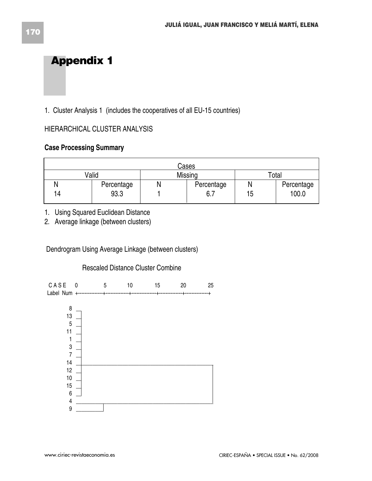# **Appendix 1**

1. Cluster Analysis 1 (includes the cooperatives of all EU-15 countries)

### HIERARCHICAL CLUSTER ANALYSIS

### **Case Processing Summary**

|    |            | Cases      |    |            |
|----|------------|------------|----|------------|
|    | Valid      | Missing    |    | Total      |
|    | Percentage | Percentage |    | Percentage |
| 14 | 93.3       | 6.7        | 15 | 100.0      |

1. Using Squared Euclidean Distance

2. Average linkage (between clusters)

Dendrogram Using Average Linkage (between clusters)

### Rescaled Distance Cluster Combine

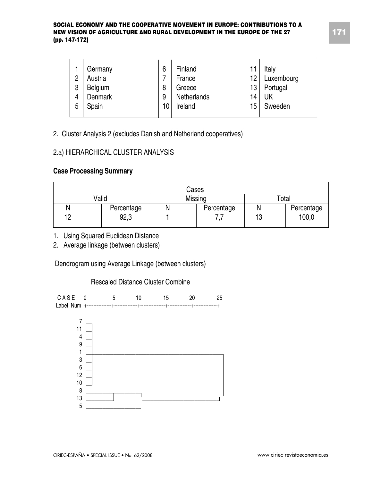| 2 | Germany<br>Austria | 6<br>7 | Finland<br>France | 11<br>12 | Italy<br>Luxembourg |
|---|--------------------|--------|-------------------|----------|---------------------|
| 3 | Belgium            | 8      | Greece            | 13       | Portugal            |
| 4 | Denmark            | 9      | Netherlands       | 14       | UK                  |
| 5 | Spain              | 10     | Ireland           | 15       | Sweeden             |
|   |                    |        |                   |          |                     |

2. Cluster Analysis 2 (excludes Danish and Netherland cooperatives)

### 2.a) HIERARCHICAL CLUSTER ANALYSIS

### **Case Processing Summary**

|    |            | Cases      |    |            |
|----|------------|------------|----|------------|
|    | Valid      | Missing    |    | Total      |
| N  | Percentage | Percentage |    | Percentage |
| 10 | 92,3       |            | 13 | 100,0      |

- 1. Using Squared Euclidean Distance
- 2. Average linkage (between clusters)

Dendrogram using Average Linkage (between clusters)

#### Rescaled Distance Cluster Combine

CASE 0 5 10 15 20 25 Label Num +---------------+--------------+---------------+--------------+--------------+